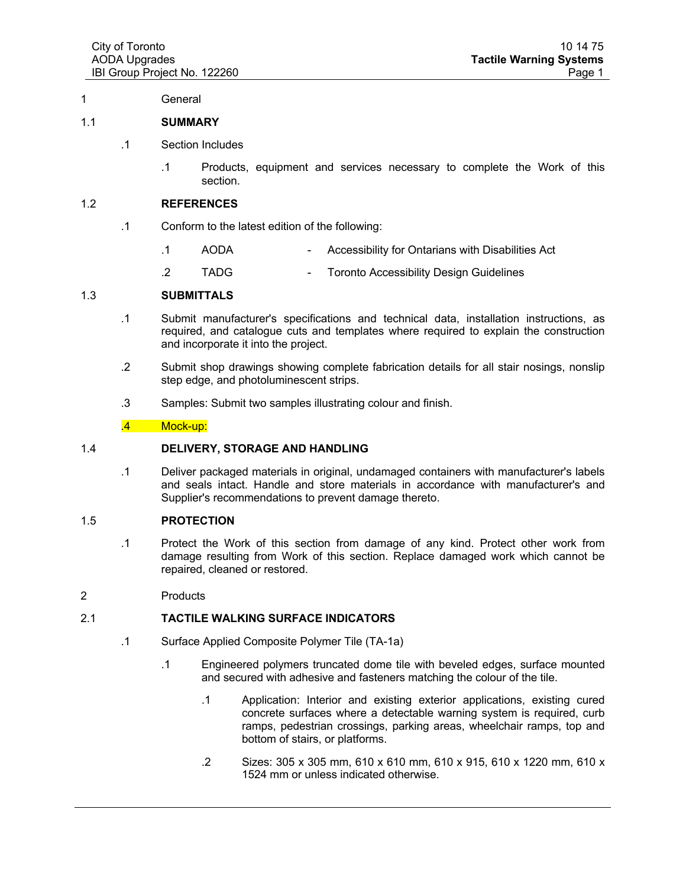# 1 General

#### 1.1 **SUMMARY**

- .1 Section Includes
	- .1 Products, equipment and services necessary to complete the Work of this section.

## 1.2 **REFERENCES**

- .1 Conform to the latest edition of the following:
	- .1 AODA Accessibility for Ontarians with Disabilities Act
	- .2 TADG Toronto Accessibility Design Guidelines

# 1.3 **SUBMITTALS**

- .1 Submit manufacturer's specifications and technical data, installation instructions, as required, and catalogue cuts and templates where required to explain the construction and incorporate it into the project.
- .2 Submit shop drawings showing complete fabrication details for all stair nosings, nonslip step edge, and photoluminescent strips.
- .3 Samples: Submit two samples illustrating colour and finish.

## .4 Mock-up:

#### 1.4 **DELIVERY, STORAGE AND HANDLING**

.1 Deliver packaged materials in original, undamaged containers with manufacturer's labels and seals intact. Handle and store materials in accordance with manufacturer's and Supplier's recommendations to prevent damage thereto.

## 1.5 **PROTECTION**

- .1 Protect the Work of this section from damage of any kind. Protect other work from damage resulting from Work of this section. Replace damaged work which cannot be repaired, cleaned or restored.
- 2 Products

## 2.1 **TACTILE WALKING SURFACE INDICATORS**

- .1 Surface Applied Composite Polymer Tile (TA-1a)
	- .1 Engineered polymers truncated dome tile with beveled edges, surface mounted and secured with adhesive and fasteners matching the colour of the tile.
		- .1 Application: Interior and existing exterior applications, existing cured concrete surfaces where a detectable warning system is required, curb ramps, pedestrian crossings, parking areas, wheelchair ramps, top and bottom of stairs, or platforms.
		- .2 Sizes: 305 x 305 mm, 610 x 610 mm, 610 x 915, 610 x 1220 mm, 610 x 1524 mm or unless indicated otherwise.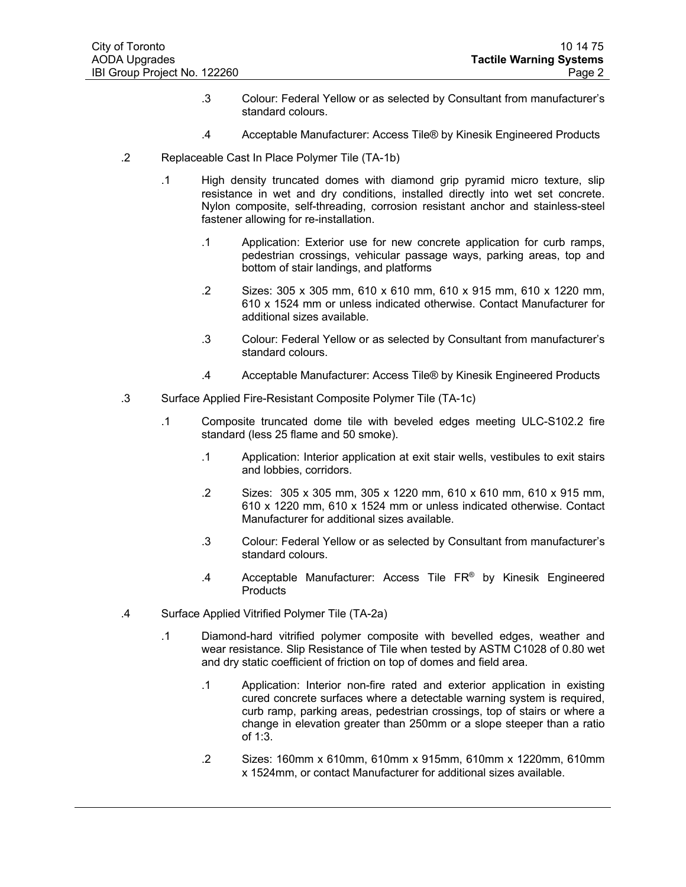- .3 Colour: Federal Yellow or as selected by Consultant from manufacturer's standard colours.
- .4 Acceptable Manufacturer: Access Tile® by Kinesik Engineered Products
- .2 Replaceable Cast In Place Polymer Tile (TA-1b)
	- .1 High density truncated domes with diamond grip pyramid micro texture, slip resistance in wet and dry conditions, installed directly into wet set concrete. Nylon composite, self-threading, corrosion resistant anchor and stainless-steel fastener allowing for re-installation.
		- .1 Application: Exterior use for new concrete application for curb ramps, pedestrian crossings, vehicular passage ways, parking areas, top and bottom of stair landings, and platforms
		- .2 Sizes: 305 x 305 mm, 610 x 610 mm, 610 x 915 mm, 610 x 1220 mm, 610 x 1524 mm or unless indicated otherwise. Contact Manufacturer for additional sizes available.
		- .3 Colour: Federal Yellow or as selected by Consultant from manufacturer's standard colours.
		- .4 Acceptable Manufacturer: Access Tile® by Kinesik Engineered Products
- .3 Surface Applied Fire-Resistant Composite Polymer Tile (TA-1c)
	- .1 Composite truncated dome tile with beveled edges meeting ULC-S102.2 fire standard (less 25 flame and 50 smoke).
		- .1 Application: Interior application at exit stair wells, vestibules to exit stairs and lobbies, corridors.
		- .2 Sizes: 305 x 305 mm, 305 x 1220 mm, 610 x 610 mm, 610 x 915 mm, 610 x 1220 mm, 610 x 1524 mm or unless indicated otherwise. Contact Manufacturer for additional sizes available.
		- .3 Colour: Federal Yellow or as selected by Consultant from manufacturer's standard colours.
		- .4 Acceptable Manufacturer: Access Tile  $FR^{\circ}$  by Kinesik Engineered **Products**
- .4 Surface Applied Vitrified Polymer Tile (TA-2a)
	- .1 Diamond-hard vitrified polymer composite with bevelled edges, weather and wear resistance. Slip Resistance of Tile when tested by ASTM C1028 of 0.80 wet and dry static coefficient of friction on top of domes and field area.
		- .1 Application: Interior non-fire rated and exterior application in existing cured concrete surfaces where a detectable warning system is required, curb ramp, parking areas, pedestrian crossings, top of stairs or where a change in elevation greater than 250mm or a slope steeper than a ratio of 1:3.
		- .2 Sizes: 160mm x 610mm, 610mm x 915mm, 610mm x 1220mm, 610mm x 1524mm, or contact Manufacturer for additional sizes available.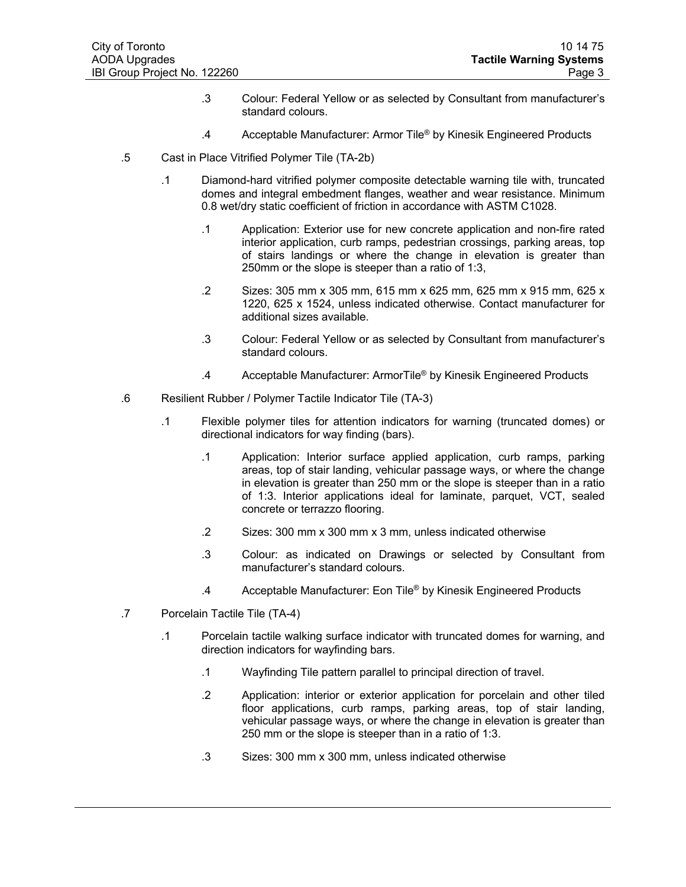- .3 Colour: Federal Yellow or as selected by Consultant from manufacturer's standard colours.
- .4 Acceptable Manufacturer: Armor Tile® by Kinesik Engineered Products
- .5 Cast in Place Vitrified Polymer Tile (TA-2b)
	- .1 Diamond-hard vitrified polymer composite detectable warning tile with, truncated domes and integral embedment flanges, weather and wear resistance. Minimum 0.8 wet/dry static coefficient of friction in accordance with ASTM C1028.
		- .1 Application: Exterior use for new concrete application and non-fire rated interior application, curb ramps, pedestrian crossings, parking areas, top of stairs landings or where the change in elevation is greater than 250mm or the slope is steeper than a ratio of 1:3,
		- .2 Sizes: 305 mm x 305 mm, 615 mm x 625 mm, 625 mm x 915 mm, 625 x 1220, 625 x 1524, unless indicated otherwise. Contact manufacturer for additional sizes available.
		- .3 Colour: Federal Yellow or as selected by Consultant from manufacturer's standard colours.
		- .4 Acceptable Manufacturer: ArmorTile® by Kinesik Engineered Products
- .6 Resilient Rubber / Polymer Tactile Indicator Tile (TA-3)
	- .1 Flexible polymer tiles for attention indicators for warning (truncated domes) or directional indicators for way finding (bars).
		- .1 Application: Interior surface applied application, curb ramps, parking areas, top of stair landing, vehicular passage ways, or where the change in elevation is greater than 250 mm or the slope is steeper than in a ratio of 1:3. Interior applications ideal for laminate, parquet, VCT, sealed concrete or terrazzo flooring.
		- .2 Sizes: 300 mm x 300 mm x 3 mm, unless indicated otherwise
		- .3 Colour: as indicated on Drawings or selected by Consultant from manufacturer's standard colours.
		- .4 Acceptable Manufacturer: Eon Tile® by Kinesik Engineered Products
- .7 Porcelain Tactile Tile (TA-4)
	- .1 Porcelain tactile walking surface indicator with truncated domes for warning, and direction indicators for wayfinding bars.
		- .1 Wayfinding Tile pattern parallel to principal direction of travel.
		- .2 Application: interior or exterior application for porcelain and other tiled floor applications, curb ramps, parking areas, top of stair landing, vehicular passage ways, or where the change in elevation is greater than 250 mm or the slope is steeper than in a ratio of 1:3.
		- .3 Sizes: 300 mm x 300 mm, unless indicated otherwise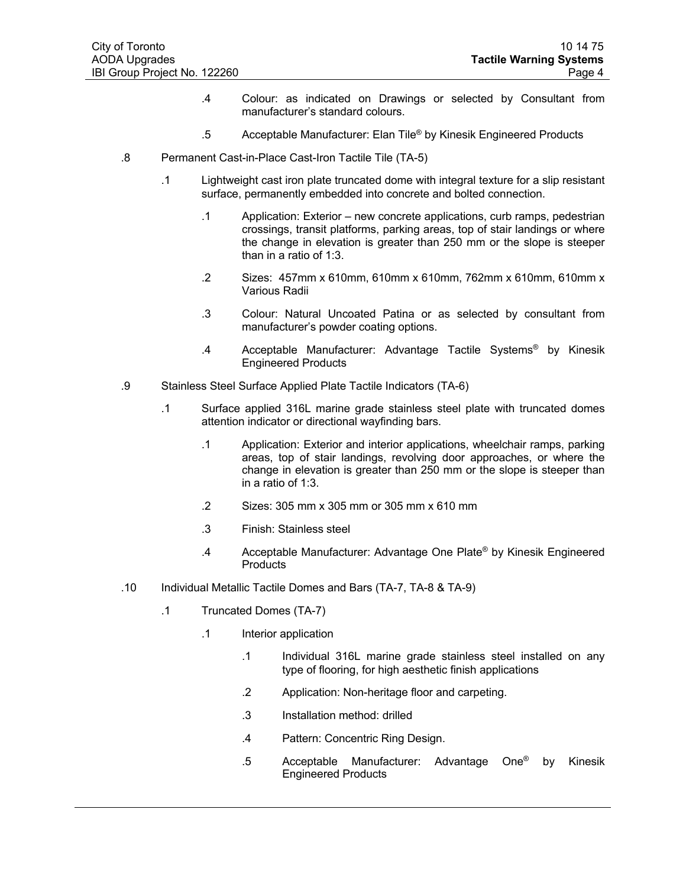- .4 Colour: as indicated on Drawings or selected by Consultant from manufacturer's standard colours.
- .5 Acceptable Manufacturer: Elan Tile® by Kinesik Engineered Products
- .8 Permanent Cast-in-Place Cast-Iron Tactile Tile (TA-5)
	- .1 Lightweight cast iron plate truncated dome with integral texture for a slip resistant surface, permanently embedded into concrete and bolted connection.
		- .1 Application: Exterior new concrete applications, curb ramps, pedestrian crossings, transit platforms, parking areas, top of stair landings or where the change in elevation is greater than 250 mm or the slope is steeper than in a ratio of 1:3.
		- .2 Sizes: 457mm x 610mm, 610mm x 610mm, 762mm x 610mm, 610mm x Various Radii
		- .3 Colour: Natural Uncoated Patina or as selected by consultant from manufacturer's powder coating options.
		- .4 Acceptable Manufacturer: Advantage Tactile Systems® by Kinesik Engineered Products
- .9 Stainless Steel Surface Applied Plate Tactile Indicators (TA-6)
	- .1 Surface applied 316L marine grade stainless steel plate with truncated domes attention indicator or directional wayfinding bars.
		- .1 Application: Exterior and interior applications, wheelchair ramps, parking areas, top of stair landings, revolving door approaches, or where the change in elevation is greater than 250 mm or the slope is steeper than in a ratio of 1:3.
		- .2 Sizes: 305 mm x 305 mm or 305 mm x 610 mm
		- .3 Finish: Stainless steel
		- .4 Acceptable Manufacturer: Advantage One Plate® by Kinesik Engineered **Products**
- .10 Individual Metallic Tactile Domes and Bars (TA-7, TA-8 & TA-9)
	- .1 Truncated Domes (TA-7)
		- .1 Interior application
			- .1 Individual 316L marine grade stainless steel installed on any type of flooring, for high aesthetic finish applications
			- .2 Application: Non-heritage floor and carpeting.
			- .3 Installation method: drilled
			- .4 Pattern: Concentric Ring Design.
			- .5 Acceptable Manufacturer: Advantage One® by Kinesik Engineered Products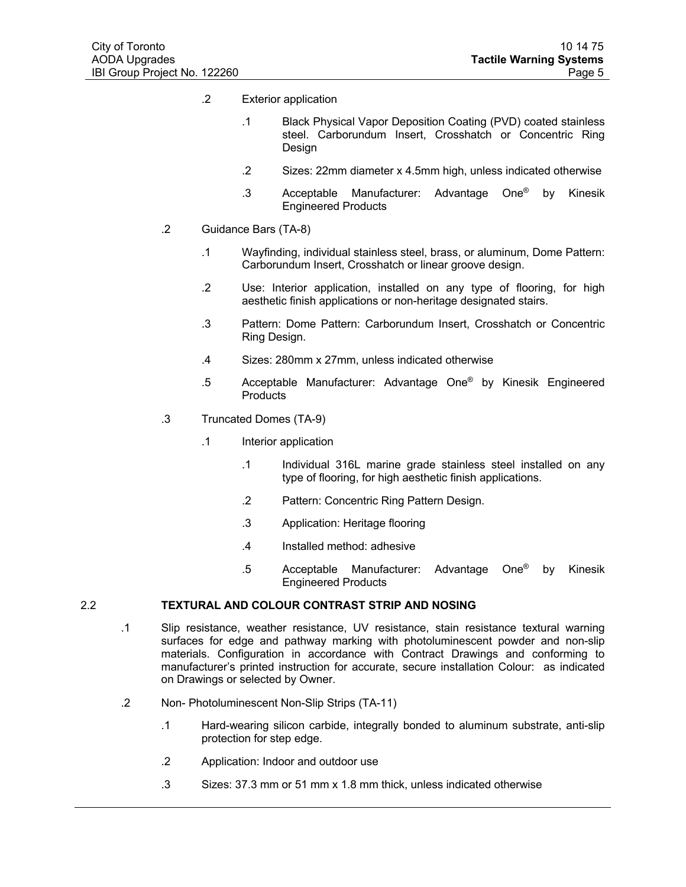- .2 Exterior application
	- .1 Black Physical Vapor Deposition Coating (PVD) coated stainless steel. Carborundum Insert, Crosshatch or Concentric Ring Design
	- .2 Sizes: 22mm diameter x 4.5mm high, unless indicated otherwise
	- .3 Acceptable Manufacturer: Advantage One® by Kinesik Engineered Products
- .2 Guidance Bars (TA-8)
	- .1 Wayfinding, individual stainless steel, brass, or aluminum, Dome Pattern: Carborundum Insert, Crosshatch or linear groove design.
	- .2 Use: Interior application, installed on any type of flooring, for high aesthetic finish applications or non-heritage designated stairs.
	- .3 Pattern: Dome Pattern: Carborundum Insert, Crosshatch or Concentric Ring Design.
	- .4 Sizes: 280mm x 27mm, unless indicated otherwise
	- .5 Acceptable Manufacturer: Advantage One® by Kinesik Engineered **Products**
- .3 Truncated Domes (TA-9)
	- .1 Interior application
		- .1 Individual 316L marine grade stainless steel installed on any type of flooring, for high aesthetic finish applications.
		- .2 Pattern: Concentric Ring Pattern Design.
		- .3 Application: Heritage flooring
		- .4 Installed method: adhesive
		- .5 Acceptable Manufacturer: Advantage One® by Kinesik Engineered Products

## 2.2 **TEXTURAL AND COLOUR CONTRAST STRIP AND NOSING**

- .1 Slip resistance, weather resistance, UV resistance, stain resistance textural warning surfaces for edge and pathway marking with photoluminescent powder and non-slip materials. Configuration in accordance with Contract Drawings and conforming to manufacturer's printed instruction for accurate, secure installation Colour: as indicated on Drawings or selected by Owner.
- .2 Non- Photoluminescent Non-Slip Strips (TA-11)
	- .1 Hard-wearing silicon carbide, integrally bonded to aluminum substrate, anti-slip protection for step edge.
	- .2 Application: Indoor and outdoor use
	- .3 Sizes: 37.3 mm or 51 mm x 1.8 mm thick, unless indicated otherwise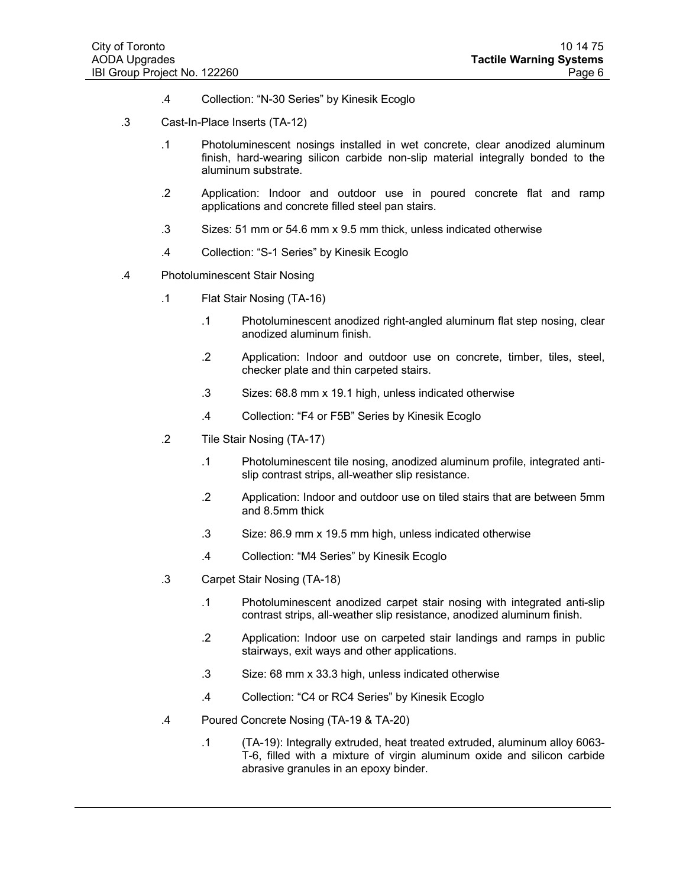- .4 Collection: "N-30 Series" by Kinesik Ecoglo
- .3 Cast-In-Place Inserts (TA-12)
	- .1 Photoluminescent nosings installed in wet concrete, clear anodized aluminum finish, hard-wearing silicon carbide non-slip material integrally bonded to the aluminum substrate.
	- .2 Application: Indoor and outdoor use in poured concrete flat and ramp applications and concrete filled steel pan stairs.
	- .3 Sizes: 51 mm or 54.6 mm x 9.5 mm thick, unless indicated otherwise
	- .4 Collection: "S-1 Series" by Kinesik Ecoglo
- .4 Photoluminescent Stair Nosing
	- .1 Flat Stair Nosing (TA-16)
		- .1 Photoluminescent anodized right-angled aluminum flat step nosing, clear anodized aluminum finish.
		- .2 Application: Indoor and outdoor use on concrete, timber, tiles, steel, checker plate and thin carpeted stairs.
		- .3 Sizes: 68.8 mm x 19.1 high, unless indicated otherwise
		- .4 Collection: "F4 or F5B" Series by Kinesik Ecoglo
	- .2 Tile Stair Nosing (TA-17)
		- .1 Photoluminescent tile nosing, anodized aluminum profile, integrated antislip contrast strips, all-weather slip resistance.
		- .2 Application: Indoor and outdoor use on tiled stairs that are between 5mm and 8.5mm thick
		- .3 Size: 86.9 mm x 19.5 mm high, unless indicated otherwise
		- .4 Collection: "M4 Series" by Kinesik Ecoglo
	- .3 Carpet Stair Nosing (TA-18)
		- .1 Photoluminescent anodized carpet stair nosing with integrated anti-slip contrast strips, all-weather slip resistance, anodized aluminum finish.
		- .2 Application: Indoor use on carpeted stair landings and ramps in public stairways, exit ways and other applications.
		- .3 Size: 68 mm x 33.3 high, unless indicated otherwise
		- .4 Collection: "C4 or RC4 Series" by Kinesik Ecoglo
	- .4 Poured Concrete Nosing (TA-19 & TA-20)
		- .1 (TA-19): Integrally extruded, heat treated extruded, aluminum alloy 6063- T-6, filled with a mixture of virgin aluminum oxide and silicon carbide abrasive granules in an epoxy binder.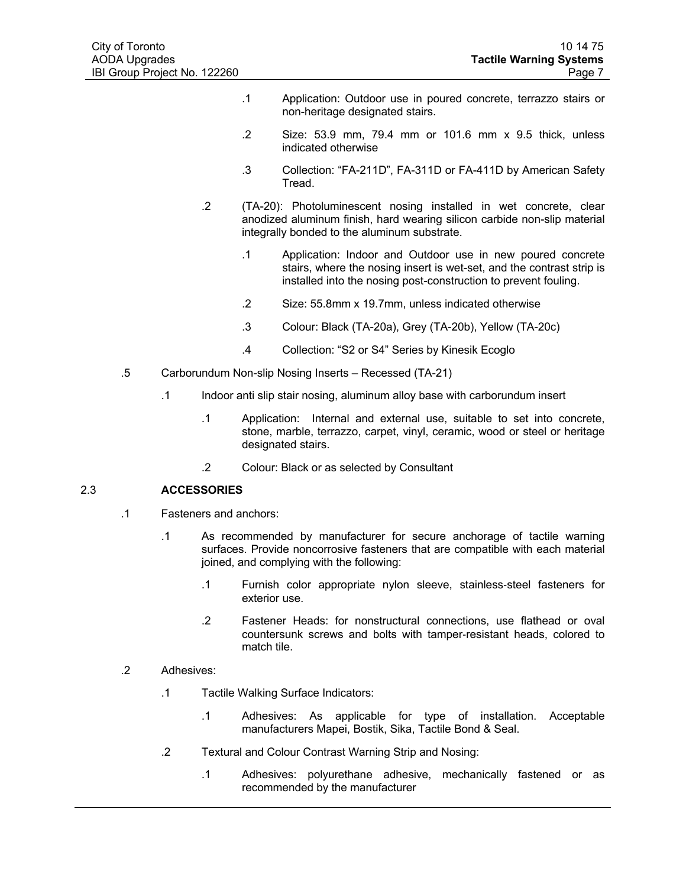- .1 Application: Outdoor use in poured concrete, terrazzo stairs or non-heritage designated stairs.
- .2 Size: 53.9 mm, 79.4 mm or 101.6 mm x 9.5 thick, unless indicated otherwise
- .3 Collection: "FA-211D", FA-311D or FA-411D by American Safety Tread.
- .2 (TA-20): Photoluminescent nosing installed in wet concrete, clear anodized aluminum finish, hard wearing silicon carbide non-slip material integrally bonded to the aluminum substrate.
	- .1 Application: Indoor and Outdoor use in new poured concrete stairs, where the nosing insert is wet-set, and the contrast strip is installed into the nosing post-construction to prevent fouling.
	- .2 Size: 55.8mm x 19.7mm, unless indicated otherwise
	- .3 Colour: Black (TA-20a), Grey (TA-20b), Yellow (TA-20c)
	- .4 Collection: "S2 or S4" Series by Kinesik Ecoglo
- .5 Carborundum Non-slip Nosing Inserts Recessed (TA-21)
	- .1 Indoor anti slip stair nosing, aluminum alloy base with carborundum insert
		- .1 Application: Internal and external use, suitable to set into concrete, stone, marble, terrazzo, carpet, vinyl, ceramic, wood or steel or heritage designated stairs.
		- .2 Colour: Black or as selected by Consultant

## 2.3 **ACCESSORIES**

- .1 Fasteners and anchors:
	- .1 As recommended by manufacturer for secure anchorage of tactile warning surfaces. Provide noncorrosive fasteners that are compatible with each material joined, and complying with the following:
		- .1 Furnish color appropriate nylon sleeve, stainless-steel fasteners for exterior use.
		- .2 Fastener Heads: for nonstructural connections, use flathead or oval countersunk screws and bolts with tamper-resistant heads, colored to match tile.
- .2 Adhesives:
	- .1 Tactile Walking Surface Indicators:
		- .1 Adhesives: As applicable for type of installation. Acceptable manufacturers Mapei, Bostik, Sika, Tactile Bond & Seal.
	- .2 Textural and Colour Contrast Warning Strip and Nosing:
		- .1 Adhesives: polyurethane adhesive, mechanically fastened or as recommended by the manufacturer